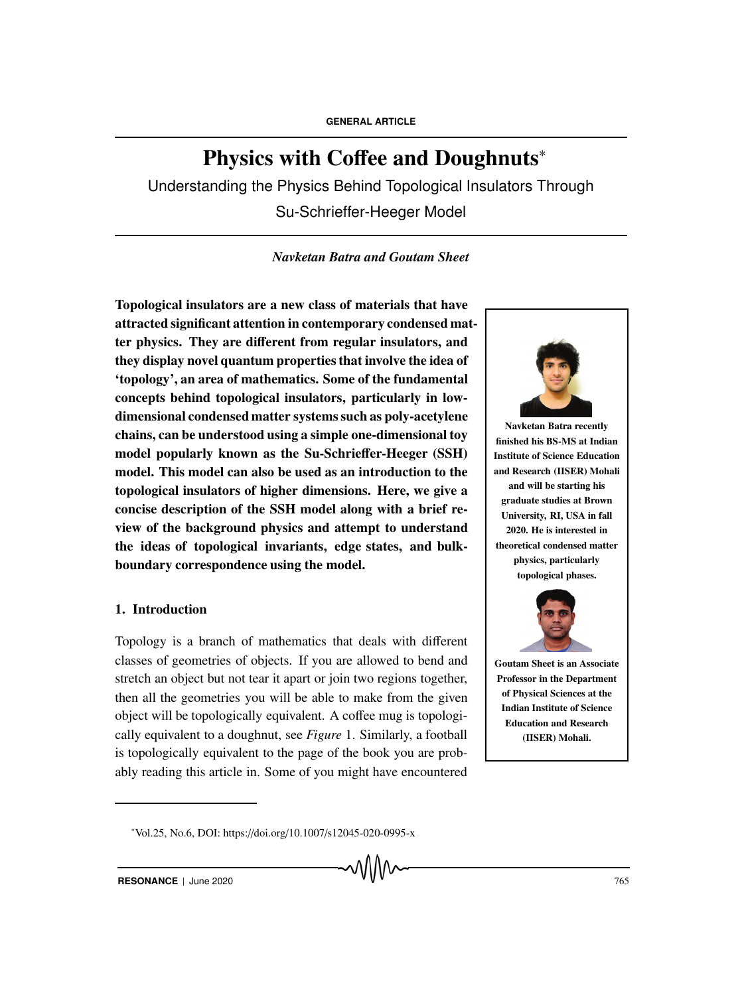# Physics with Coffee and Doughnuts<sup>∗</sup>

Understanding the Physics Behind Topological Insulators Through Su-Schrieffer-Heeger Model

*Navketan Batra and Goutam Sheet*

Topological insulators are a new class of materials that have attracted significant attention in contemporary condensed matter physics. They are different from regular insulators, and they display novel quantum properties that involve the idea of 'topology', an area of mathematics. Some of the fundamental concepts behind topological insulators, particularly in lowdimensional condensed matter systems such as poly-acetylene chains, can be understood using a simple one-dimensional toy model popularly known as the Su-Schrieffer-Heeger (SSH) model. This model can also be used as an introduction to the topological insulators of higher dimensions. Here, we give a concise description of the SSH model along with a brief review of the background physics and attempt to understand the ideas of topological invariants, edge states, and bulkboundary correspondence using the model.

#### 1. Introduction

Topology is a branch of mathematics that deals with different classes of geometries of objects. If you are allowed to bend and stretch an object but not tear it apart or join two regions together, then all the geometries you will be able to make from the given object will be topologically equivalent. A coffee mug is topologically equivalent to a doughnut, see *Figure* 1. Similarly, a football is topologically equivalent to the page of the book you are probably reading this article in. Some of you might have encountered



Navketan Batra recently finished his BS-MS at Indian Institute of Science Education and Research (IISER) Mohali and will be starting his graduate studies at Brown University, RI, USA in fall 2020. He is interested in theoretical condensed matter physics, particularly topological phases.



Goutam Sheet is an Associate Professor in the Department of Physical Sciences at the Indian Institute of Science Education and Research (IISER) Mohali.

<sup>∗</sup> Vol.25, No.6, DOI: https://doi.org/10.1007/s12045-020-0995-x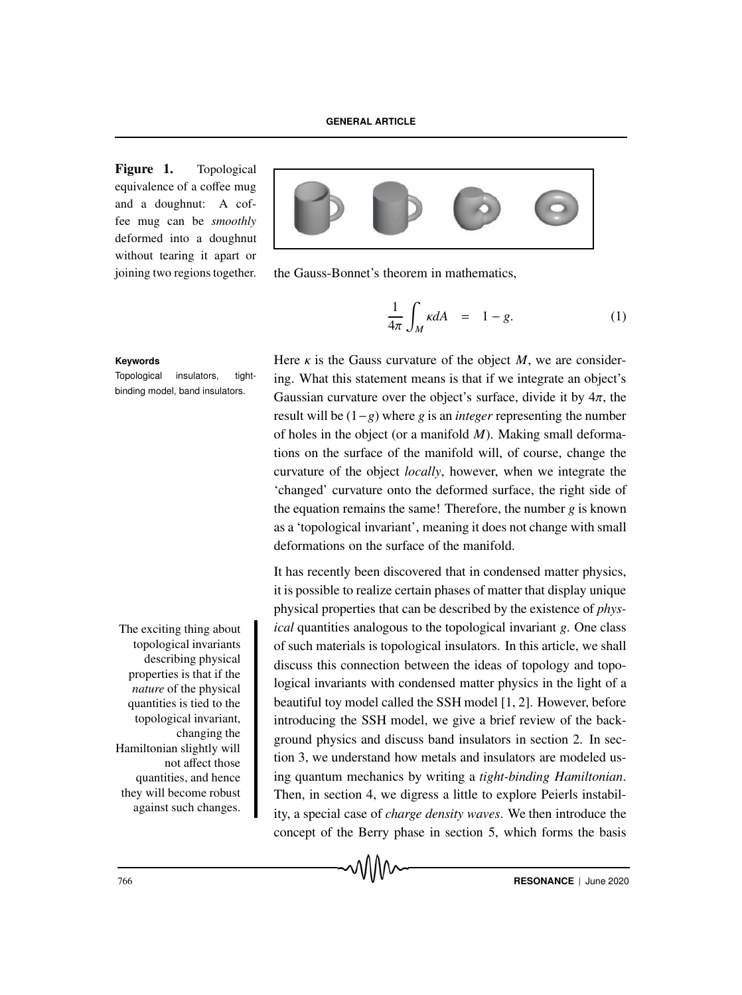Figure 1. Topological equivalence of a coffee mug and a doughnut: A coffee mug can be *smoothly* deformed into a doughnut without tearing it apart or



joining two regions together. the Gauss-Bonnet's theorem in mathematics,

$$
\frac{1}{4\pi} \int_{M} \kappa dA = 1 - g. \tag{1}
$$

Topological insulators, tightbinding model, band insulators.

The exciting thing about *ical* topological invariants describing physical properties is that if the *nature* of the physical quantities is tied to the topological invariant, changing the Hamiltonian slightly will not affect those quantities, and hence they will become robust against such changes.

**Keywords** Here  $\kappa$  is the Gauss curvature of the object  $M$ , we are considering. What this statement means is that if we integrate an object's Gaussian curvature over the object's surface, divide it by  $4\pi$ , the result will be (1−*g*) where *g* is an *integer* representing the number of holes in the object (or a manifold *M*). Making small deformations on the surface of the manifold will, of course, change the curvature of the object *locally*, however, when we integrate the 'changed' curvature onto the deformed surface, the right side of the equation remains the same! Therefore, the number *g* is known as a 'topological invariant', meaning it does not change with small deformations on the surface of the manifold.

> It has recently been discovered that in condensed matter physics, it is possible to realize certain phases of matter that display unique physical properties that can be described by the existence of *phys*quantities analogous to the topological invariant *g*. One class of such materials is topological insulators. In this article, we shall discuss this connection between the ideas of topology and topological invariants with condensed matter physics in the light of a beautiful toy model called the SSH model [1, 2]. However, before introducing the SSH model, we give a brief review of the background physics and discuss band insulators in section 2. In section 3, we understand how metals and insulators are modeled using quantum mechanics by writing a *tight-binding Hamiltonian*. Then, in section 4, we digress a little to explore Peierls instability, a special case of *charge density waves*. We then introduce the concept of the Berry phase in section 5, which forms the basis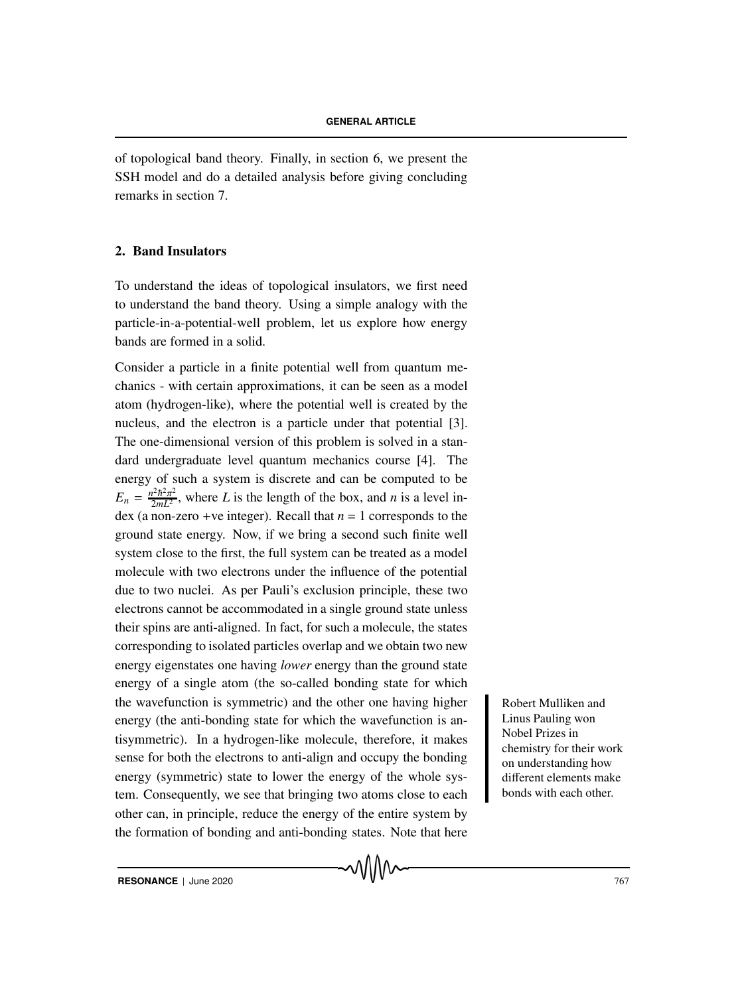of topological band theory. Finally, in section 6, we present the SSH model and do a detailed analysis before giving concluding remarks in section 7.

## 2. Band Insulators

To understand the ideas of topological insulators, we first need to understand the band theory. Using a simple analogy with the particle-in-a-potential-well problem, let us explore how energy bands are formed in a solid.

Consider a particle in a finite potential well from quantum mechanics - with certain approximations, it can be seen as a model atom (hydrogen-like), where the potential well is created by the nucleus, and the electron is a particle under that potential [3]. The one-dimensional version of this problem is solved in a standard undergraduate level quantum mechanics course [4]. The energy of such a system is discrete and can be computed to be  $E_n = \frac{n^2 \hbar^2 \pi^2}{2mL^2}$ , where *L* is the length of the box, and *n* is a level index (a non-zero +ve integer). Recall that  $n = 1$  corresponds to the ground state energy. Now, if we bring a second such finite well system close to the first, the full system can be treated as a model molecule with two electrons under the influence of the potential due to two nuclei. As per Pauli's exclusion principle, these two electrons cannot be accommodated in a single ground state unless their spins are anti-aligned. In fact, for such a molecule, the states corresponding to isolated particles overlap and we obtain two new energy eigenstates one having *lower* energy than the ground state energy of a single atom (the so-called bonding state for which the wavefunction is symmetric) and the other one having higher Robert Mulliken and energy (the anti-bonding state for which the wavefunction is antisymmetric). In a hydrogen-like molecule, therefore, it makes sense for both the electrons to anti-align and occupy the bonding energy (symmetric) state to lower the energy of the whole system. Consequently, we see that bringing two atoms close to each other can, in principle, reduce the energy of the entire system by the formation of bonding and anti-bonding states. Note that here

Linus Pauling won Nobel Prizes in chemistry for their work on understanding how different elements make bonds with each other.

**RESONANCE** | June 2020 767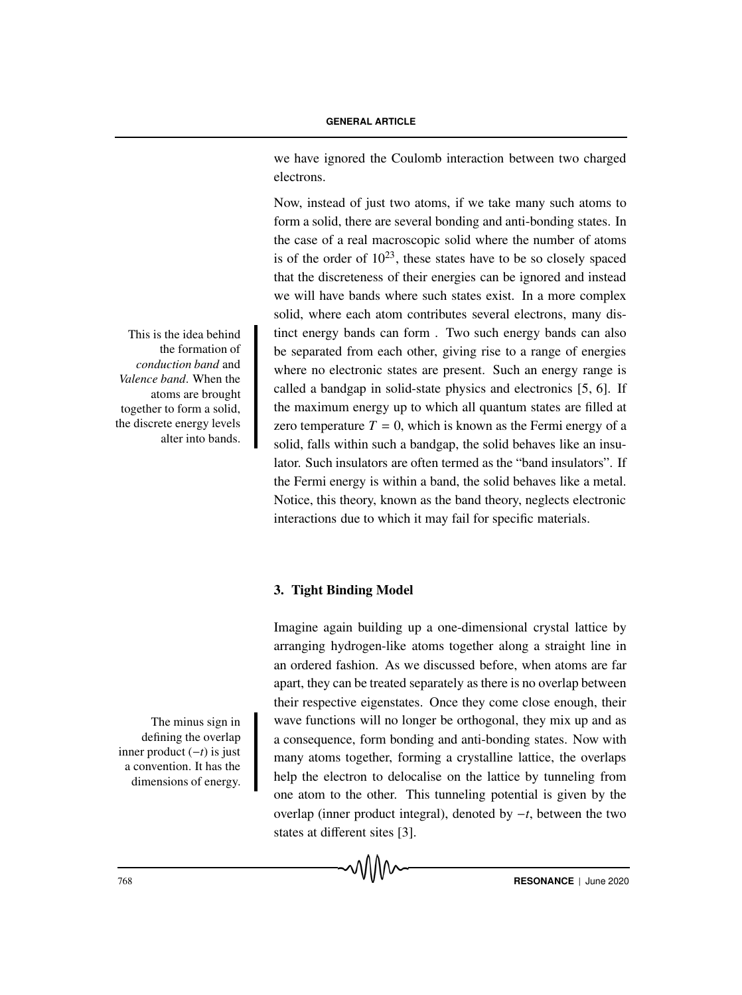we have ignored the Coulomb interaction between two charged electrons.

Now, instead of just two atoms, if we take many such atoms to form a solid, there are several bonding and anti-bonding states. In the case of a real macroscopic solid where the number of atoms is of the order of  $10^{23}$ , these states have to be so closely spaced that the discreteness of their energies can be ignored and instead we will have bands where such states exist. In a more complex solid, where each atom contributes several electrons, many dis-This is the idea behind tinct energy bands can form. Two such energy bands can also be separated from each other, giving rise to a range of energies where no electronic states are present. Such an energy range is called a bandgap in solid-state physics and electronics [5, 6]. If the maximum energy up to which all quantum states are filled at zero temperature  $T = 0$ , which is known as the Fermi energy of a solid, falls within such a bandgap, the solid behaves like an insulator. Such insulators are often termed as the "band insulators". If the Fermi energy is within a band, the solid behaves like a metal. Notice, this theory, known as the band theory, neglects electronic interactions due to which it may fail for specific materials.

3. Tight Binding Model

Imagine again building up a one-dimensional crystal lattice by arranging hydrogen-like atoms together along a straight line in an ordered fashion. As we discussed before, when atoms are far apart, they can be treated separately as there is no overlap between their respective eigenstates. Once they come close enough, their The minus sign in wave functions will no longer be orthogonal, they mix up and as a consequence, form bonding and anti-bonding states. Now with many atoms together, forming a crystalline lattice, the overlaps help the electron to delocalise on the lattice by tunneling from one atom to the other. This tunneling potential is given by the overlap (inner product integral), denoted by −*t*, between the two states at different sites [3].

the formation of *conduction band* and *Valence band*. When the atoms are brought together to form a solid, the discrete energy levels alter into bands.

defining the overlap inner product (−*t*) is just a convention. It has the dimensions of energy.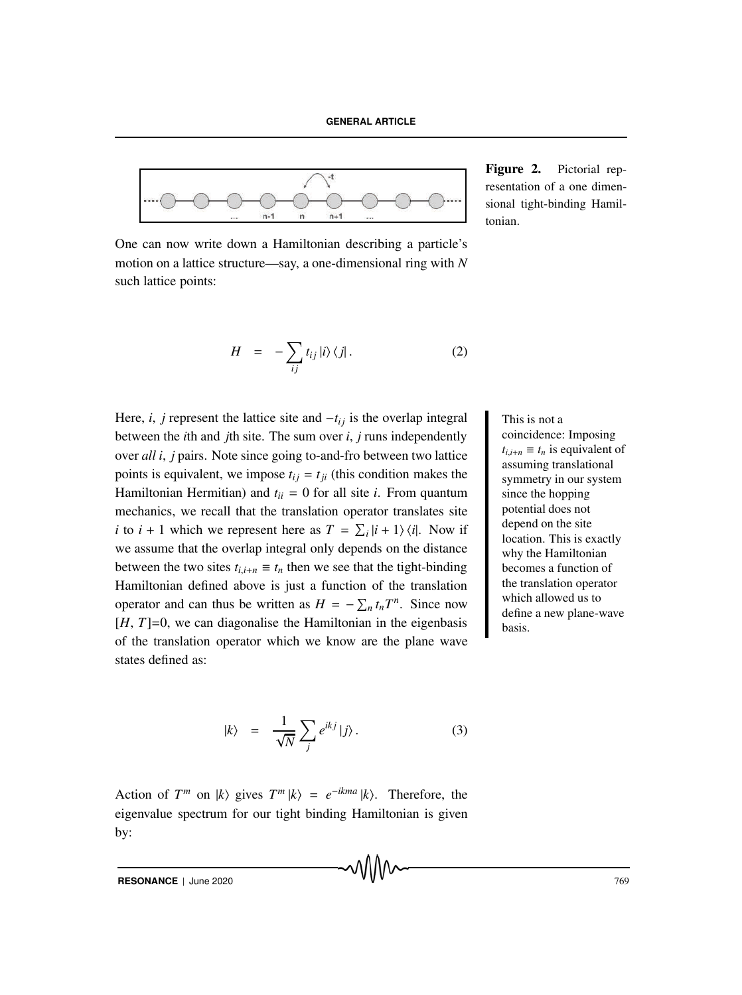

One can now write down a Hamiltonian describing a particle's motion on a lattice structure—say, a one-dimensional ring with *N* such lattice points:

$$
H = -\sum_{ij} t_{ij} |i\rangle\langle j|.
$$
 (2)

Here, *i*, *j* represent the lattice site and  $-t_{ij}$  is the overlap integral This is not a between the *i*th and *j*th site. The sum over *i*, *j* runs independently over *all i*, *j* pairs. Note since going to-and-fro between two lattice points is equivalent, we impose  $t_{ij} = t_{ji}$  (this condition makes the Hamiltonian Hermitian) and  $t_{ii} = 0$  for all site *i*. From quantum mechanics, we recall that the translation operator translates site *i* to  $i + 1$  which we represent here as  $T = \sum_{i} |i + 1\rangle \langle i|$ . Now if we assume that the overlap integral only depends on the distance between the two sites  $t_{i,i+n} \equiv t_n$  then we see that the tight-binding Hamiltonian defined above is just a function of the translation operator and can thus be written as  $H = -\sum_n t_n T^n$ . Since now  $[H, T]=0$ , we can diagonalise the Hamiltonian in the eigenbasis of the translation operator which we know are the plane wave states defined as:

$$
|k\rangle = \frac{1}{\sqrt{N}} \sum_{j} e^{ikj} |j\rangle.
$$
 (3)

√∖∖∖∧∼

Action of  $T^m$  on  $|k\rangle$  gives  $T^m |k\rangle = e^{-ikma} |k\rangle$ . Therefore, the eigenvalue spectrum for our tight binding Hamiltonian is given by:

Figure 2. Pictorial representation of a one dimensional tight-binding Hamiltonian.

> coincidence: Imposing  $t_{i,i+n} \equiv t_n$  is equivalent of assuming translational symmetry in our system since the hopping potential does not depend on the site location. This is exactly why the Hamiltonian becomes a function of the translation operator which allowed us to define a new plane-wave basis.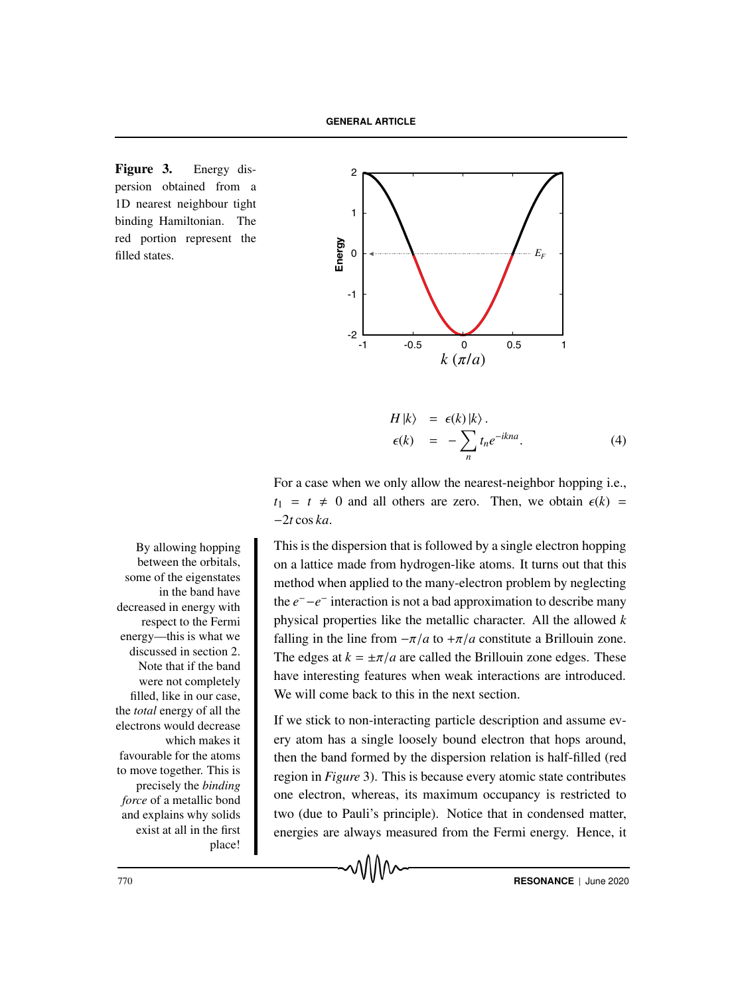Figure 3. Energy dispersion obtained from a 1D nearest neighbour tight binding Hamiltonian. The red portion represent the filled states.



$$
H|k\rangle = \epsilon(k)|k\rangle.
$$
  
\n
$$
\epsilon(k) = -\sum_{n} t_n e^{-ikna}.
$$
\n(4)

For a case when we only allow the nearest-neighbor hopping i.e.,  $t_1$  =  $t \neq 0$  and all others are zero. Then, we obtain  $\epsilon(k)$  = −2*t* cos *ka*.

This is the dispersion that is followed by a single electron hopping on a lattice made from hydrogen-like atoms. It turns out that this method when applied to the many-electron problem by neglecting the *e*−−*e*<sup>−</sup> interaction is not a bad approximation to describe many physical properties like the metallic character. All the allowed *k* falling in the line from  $-\pi/a$  to  $+\pi/a$  constitute a Brillouin zone. The edges at  $k = \pm \pi/a$  are called the Brillouin zone edges. These have interesting features when weak interactions are introduced. We will come back to this in the next section.

If we stick to non-interacting particle description and assume every atom has a single loosely bound electron that hops around, then the band formed by the dispersion relation is half-filled (red region in *Figure* 3). This is because every atomic state contributes one electron, whereas, its maximum occupancy is restricted to two (due to Pauli's principle). Notice that in condensed matter, energies are always measured from the Fermi energy. Hence, it

By allowing hopping between the orbitals, some of the eigenstates in the band have decreased in energy with respect to the Fermi energy—this is what we discussed in section 2. Note that if the band were not completely filled, like in our case, the *total* energy of all the electrons would decrease which makes it favourable for the atoms to move together. This is precisely the *binding force* of a metallic bond and explains why solids exist at all in the first place!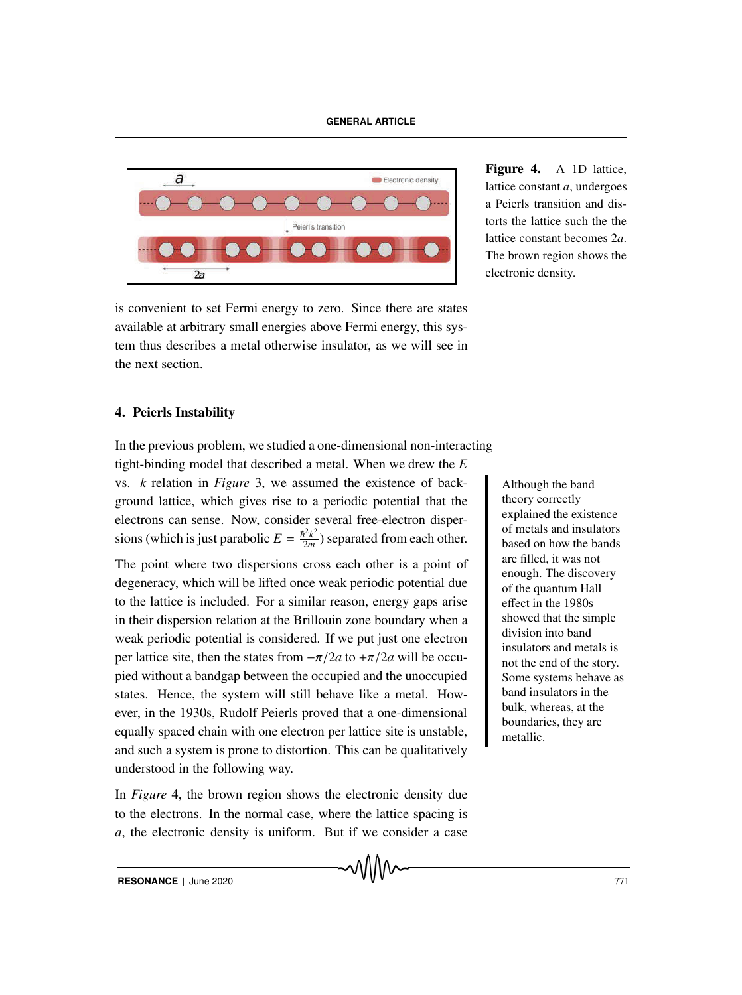

is convenient to set Fermi energy to zero. Since there are states available at arbitrary small energies above Fermi energy, this system thus describes a metal otherwise insulator, as we will see in the next section.

Figure 4. A 1D lattice, lattice constant *a*, undergoes a Peierls transition and distorts the lattice such the the lattice constant becomes 2*a*. The brown region shows the electronic density.

#### 4. Peierls Instability

In the previous problem, we studied a one-dimensional non-interacting tight-binding model that described a metal. When we drew the *E* vs. *k* relation in *Figure* 3, we assumed the existence of back-<br>Although the band ground lattice, which gives rise to a periodic potential that the electrons can sense. Now, consider several free-electron dispersions (which is just parabolic  $E = \frac{\hbar^2 k^2}{2m}$ ) separated from each other.

The point where two dispersions cross each other is a point of degeneracy, which will be lifted once weak periodic potential due to the lattice is included. For a similar reason, energy gaps arise in their dispersion relation at the Brillouin zone boundary when a weak periodic potential is considered. If we put just one electron per lattice site, then the states from  $-\pi/2a$  to  $+\pi/2a$  will be occupied without a bandgap between the occupied and the unoccupied states. Hence, the system will still behave like a metal. However, in the 1930s, Rudolf Peierls proved that a one-dimensional equally spaced chain with one electron per lattice site is unstable, and such a system is prone to distortion. This can be qualitatively understood in the following way.

In *Figure* 4, the brown region shows the electronic density due to the electrons. In the normal case, where the lattice spacing is *a*, the electronic density is uniform. But if we consider a case theory correctly explained the existence of metals and insulators based on how the bands are filled, it was not enough. The discovery of the quantum Hall effect in the 1980s showed that the simple division into band insulators and metals is not the end of the story. Some systems behave as band insulators in the bulk, whereas, at the boundaries, they are metallic.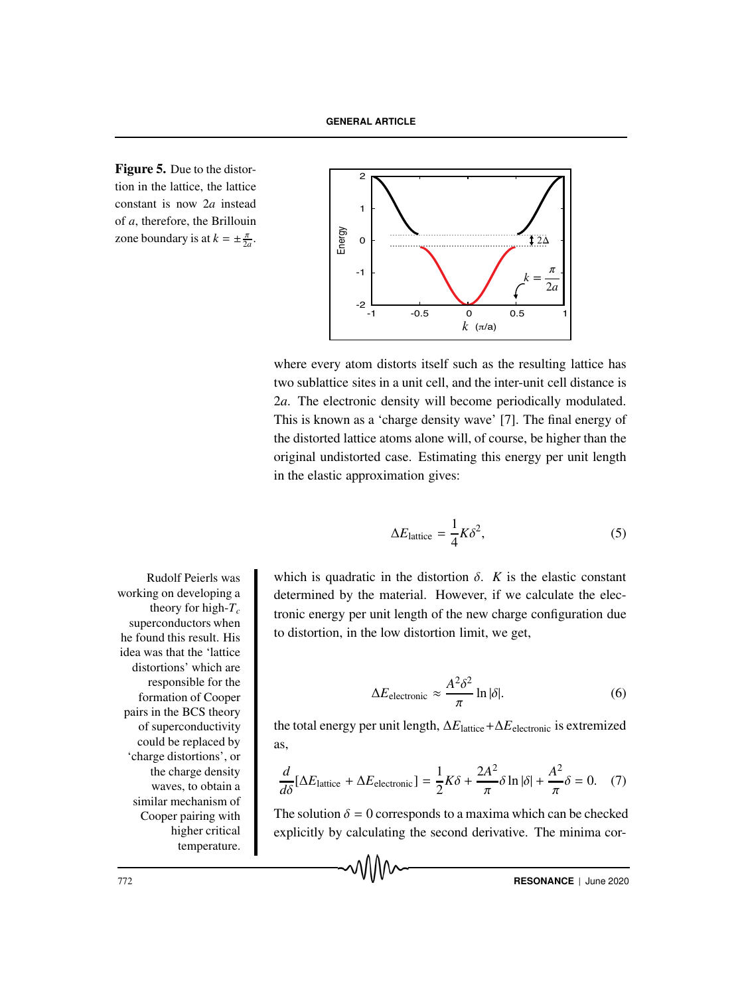Figure 5. Due to the distortion in the lattice, the lattice constant is now 2*a* instead of *a*, therefore, the Brillouin zone boundary is at  $k = \pm \frac{\pi}{2a}$ .



where every atom distorts itself such as the resulting lattice has two sublattice sites in a unit cell, and the inter-unit cell distance is 2*a*. The electronic density will become periodically modulated. This is known as a 'charge density wave' [7]. The final energy of the distorted lattice atoms alone will, of course, be higher than the original undistorted case. Estimating this energy per unit length in the elastic approximation gives:

$$
\Delta E_{\text{lattice}} = \frac{1}{4} K \delta^2,\tag{5}
$$

which is quadratic in the distortion  $\delta$ . *K* is the elastic constant determined by the material. However, if we calculate the electronic energy per unit length of the new charge configuration due to distortion, in the low distortion limit, we get,

$$
\Delta E_{\text{electronic}} \approx \frac{A^2 \delta^2}{\pi} \ln|\delta|.
$$
 (6)

the total energy per unit length, Δ*E*lattice+Δ*E*electronic is extremized as,

$$
\frac{d}{d\delta}[\Delta E_{\text{lattice}} + \Delta E_{\text{electronic}}] = \frac{1}{2}K\delta + \frac{2A^2}{\pi}\delta \ln|\delta| + \frac{A^2}{\pi}\delta = 0. \quad (7)
$$

The solution  $\delta = 0$  corresponds to a maxima which can be checked explicitly by calculating the second derivative. The minima cor-

Rudolf Peierls was working on developing a theory for high- $T_c$ superconductors when he found this result. His idea was that the 'lattice distortions' which are responsible for the formation of Cooper pairs in the BCS theory of superconductivity could be replaced by 'charge distortions', or the charge density waves, to obtain a similar mechanism of Cooper pairing with higher critical temperature.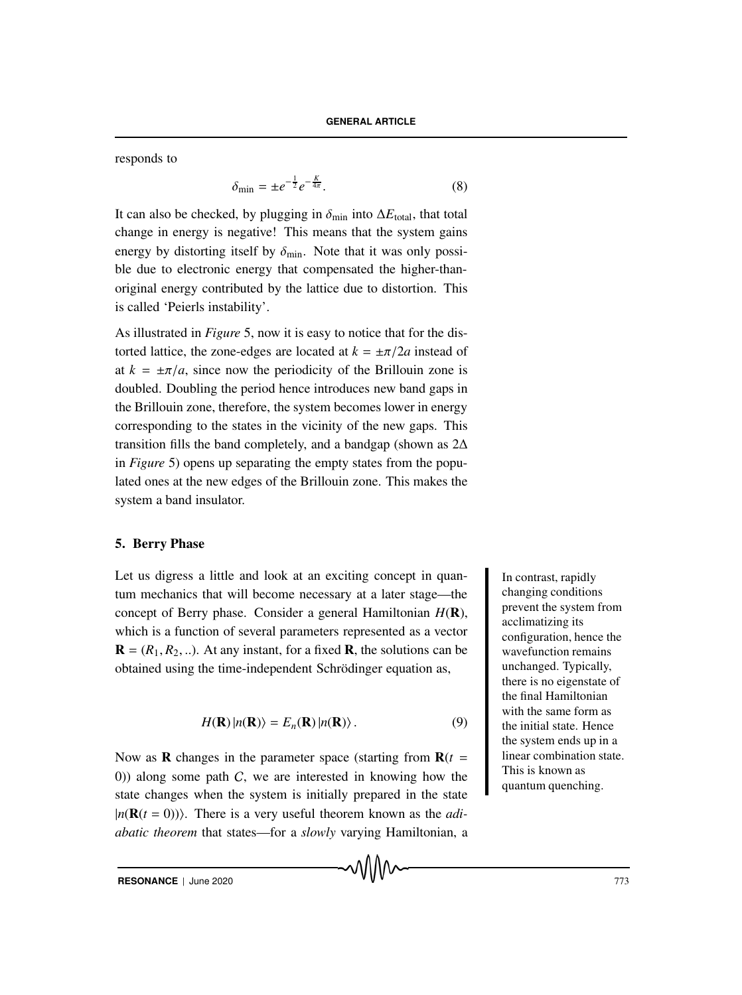responds to

$$
\delta_{\min} = \pm e^{-\frac{1}{2}} e^{-\frac{K}{4\pi}}.
$$
 (8)

It can also be checked, by plugging in  $\delta_{\text{min}}$  into  $\Delta E_{\text{total}}$ , that total change in energy is negative! This means that the system gains energy by distorting itself by  $\delta_{\min}$ . Note that it was only possible due to electronic energy that compensated the higher-thanoriginal energy contributed by the lattice due to distortion. This is called 'Peierls instability'.

As illustrated in *Figure* 5, now it is easy to notice that for the distorted lattice, the zone-edges are located at  $k = \pm \pi/2a$  instead of at  $k = \pm \pi/a$ , since now the periodicity of the Brillouin zone is doubled. Doubling the period hence introduces new band gaps in the Brillouin zone, therefore, the system becomes lower in energy corresponding to the states in the vicinity of the new gaps. This transition fills the band completely, and a bandgap (shown as  $2\Delta$ ) in *Figure* 5) opens up separating the empty states from the populated ones at the new edges of the Brillouin zone. This makes the system a band insulator.

### 5. Berry Phase

Let us digress a little and look at an exciting concept in quan-<br>In contrast, rapidly tum mechanics that will become necessary at a later stage—the concept of Berry phase. Consider a general Hamiltonian *H*(R), which is a function of several parameters represented as a vector  $\mathbf{R} = (R_1, R_2, ...)$ . At any instant, for a fixed **R**, the solutions can be obtained using the time-independent Schrödinger equation as,

$$
H(\mathbf{R})|n(\mathbf{R})\rangle = E_n(\mathbf{R})|n(\mathbf{R})\rangle.
$$
 (9)

Now as **R** changes in the parameter space (starting from  $R(t =$ 0)) along some path C, we are interested in knowing how the state changes when the system is initially prepared in the state  $|n(\mathbf{R}(t=0))\rangle$ . There is a very useful theorem known as the *adiabatic theorem* that states—for a *slowly* varying Hamiltonian, a changing conditions prevent the system from acclimatizing its configuration, hence the wavefunction remains unchanged. Typically, there is no eigenstate of the final Hamiltonian with the same form as the initial state. Hence the system ends up in a linear combination state. This is known as quantum quenching.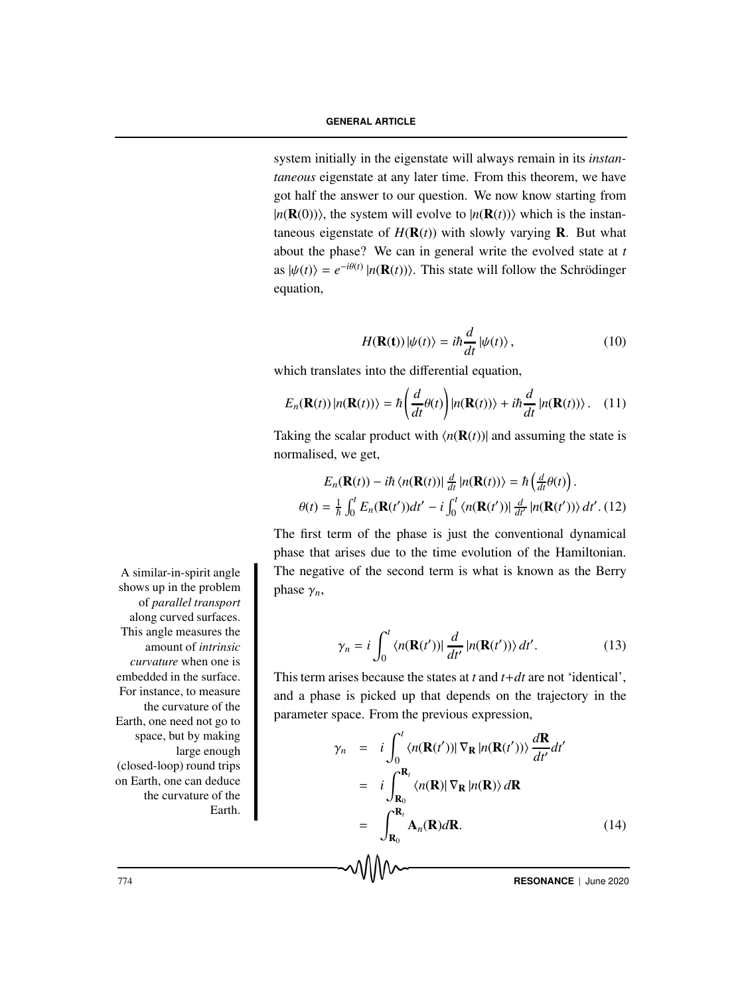system initially in the eigenstate will always remain in its *instantaneous* eigenstate at any later time. From this theorem, we have got half the answer to our question. We now know starting from  $|n(\mathbf{R}(0))\rangle$ , the system will evolve to  $|n(\mathbf{R}(t))\rangle$  which is the instantaneous eigenstate of  $H(\mathbf{R}(t))$  with slowly varying **R**. But what about the phase? We can in general write the evolved state at *t* as  $|\psi(t)\rangle = e^{-i\theta(t)}|n(\mathbf{R}(t))\rangle$ . This state will follow the Schrödinger equation,

$$
H(\mathbf{R}(\mathbf{t}))|\psi(t)\rangle = i\hbar \frac{d}{dt}|\psi(t)\rangle, \qquad (10)
$$

which translates into the differential equation,

$$
E_n(\mathbf{R}(t))|n(\mathbf{R}(t))\rangle = \hbar \left(\frac{d}{dt}\theta(t)\right)|n(\mathbf{R}(t))\rangle + i\hbar \frac{d}{dt}|n(\mathbf{R}(t))\rangle. \quad (11)
$$

Taking the scalar product with  $\langle n(\mathbf{R}(t))|$  and assuming the state is normalised, we get,

$$
E_n(\mathbf{R}(t)) - i\hbar \langle n(\mathbf{R}(t))| \frac{d}{dt} |n(\mathbf{R}(t))\rangle = \hbar \left(\frac{d}{dt}\theta(t)\right).
$$
  

$$
\theta(t) = \frac{1}{\hbar} \int_0^t E_n(\mathbf{R}(t'))dt' - i \int_0^t \langle n(\mathbf{R}(t'))| \frac{d}{dt'} |n(\mathbf{R}(t'))\rangle dt' . (12)
$$

The first term of the phase is just the conventional dynamical phase that arises due to the time evolution of the Hamiltonian. The negative of the second term is what is known as the Berry phase γ*n*,

$$
\gamma_n = i \int_0^t \langle n(\mathbf{R}(t'))| \frac{d}{dt'} |n(\mathbf{R}(t'))\rangle dt'.
$$
 (13)

This term arises because the states at *t* and *t*+*dt* are not 'identical', and a phase is picked up that depends on the trajectory in the parameter space. From the previous expression,

$$
\gamma_n = i \int_0^t \langle n(\mathbf{R}(t')) | \nabla_{\mathbf{R}} | n(\mathbf{R}(t')) \rangle \frac{d\mathbf{R}}{dt'} dt'
$$
  
\n
$$
= i \int_{\mathbf{R}_0}^{\mathbf{R}_t} \langle n(\mathbf{R}) | \nabla_{\mathbf{R}} | n(\mathbf{R}) \rangle d\mathbf{R}
$$
  
\n
$$
= \int_{\mathbf{R}_0}^{\mathbf{R}_t} \mathbf{A}_n(\mathbf{R}) d\mathbf{R}.
$$
 (14)

A similar-in-spirit angle shows up in the problem of *parallel transport* along curved surfaces. This angle measures the amount of *intrinsic curvature* when one is embedded in the surface. For instance, to measure the curvature of the Earth, one need not go to space, but by making large enough (closed-loop) round trips on Earth, one can deduce the curvature of the Earth.

**T14 RESONANCE** | June 2020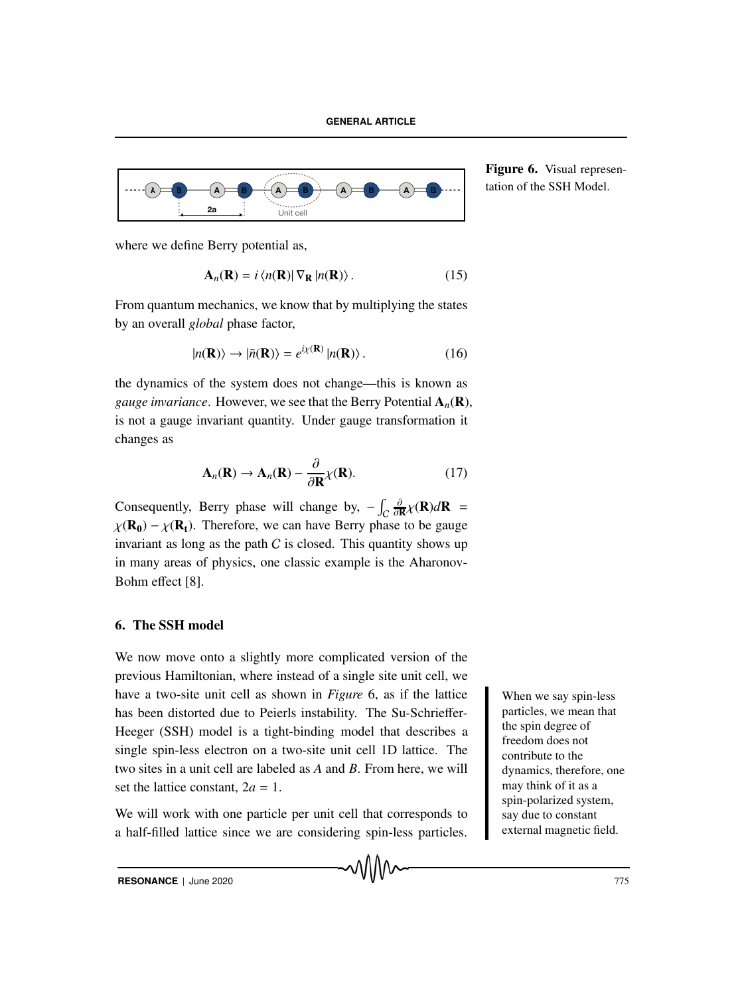

Figure 6. Visual representation of the SSH Model.

where we define Berry potential as,

$$
\mathbf{A}_n(\mathbf{R}) = i \langle n(\mathbf{R}) | \nabla_{\mathbf{R}} | n(\mathbf{R}) \rangle. \tag{15}
$$

From quantum mechanics, we know that by multiplying the states by an overall *global* phase factor,

$$
|n(\mathbf{R})\rangle \to |\tilde{n}(\mathbf{R})\rangle = e^{i\chi(\mathbf{R})} |n(\mathbf{R})\rangle. \tag{16}
$$

the dynamics of the system does not change—this is known as *gauge invariance*. However, we see that the Berry Potential  $A_n(R)$ , is not a gauge invariant quantity. Under gauge transformation it changes as

$$
\mathbf{A}_n(\mathbf{R}) \to \mathbf{A}_n(\mathbf{R}) - \frac{\partial}{\partial \mathbf{R}} \chi(\mathbf{R}).
$$
 (17)

Consequently, Berry phase will change by,  $-\int_C \frac{\partial}{\partial \mathbf{R}} \chi(\mathbf{R}) d\mathbf{R}$  =  $\chi(\mathbf{R_0}) - \chi(\mathbf{R_t})$ . Therefore, we can have Berry phase to be gauge invariant as long as the path  $C$  is closed. This quantity shows up in many areas of physics, one classic example is the Aharonov-Bohm effect [8].

# 6. The SSH model

We now move onto a slightly more complicated version of the previous Hamiltonian, where instead of a single site unit cell, we have a two-site unit cell as shown in *Figure* 6, as if the lattice When we say spin-less has been distorted due to Peierls instability. The Su-Schrieffer-Heeger (SSH) model is a tight-binding model that describes a single spin-less electron on a two-site unit cell 1D lattice. The two sites in a unit cell are labeled as *A* and *B*. From here, we will set the lattice constant,  $2a = 1$ .

We will work with one particle per unit cell that corresponds to a half-filled lattice since we are considering spin-less particles. particles, we mean that the spin degree of freedom does not contribute to the dynamics, therefore, one may think of it as a spin-polarized system, say due to constant external magnetic field.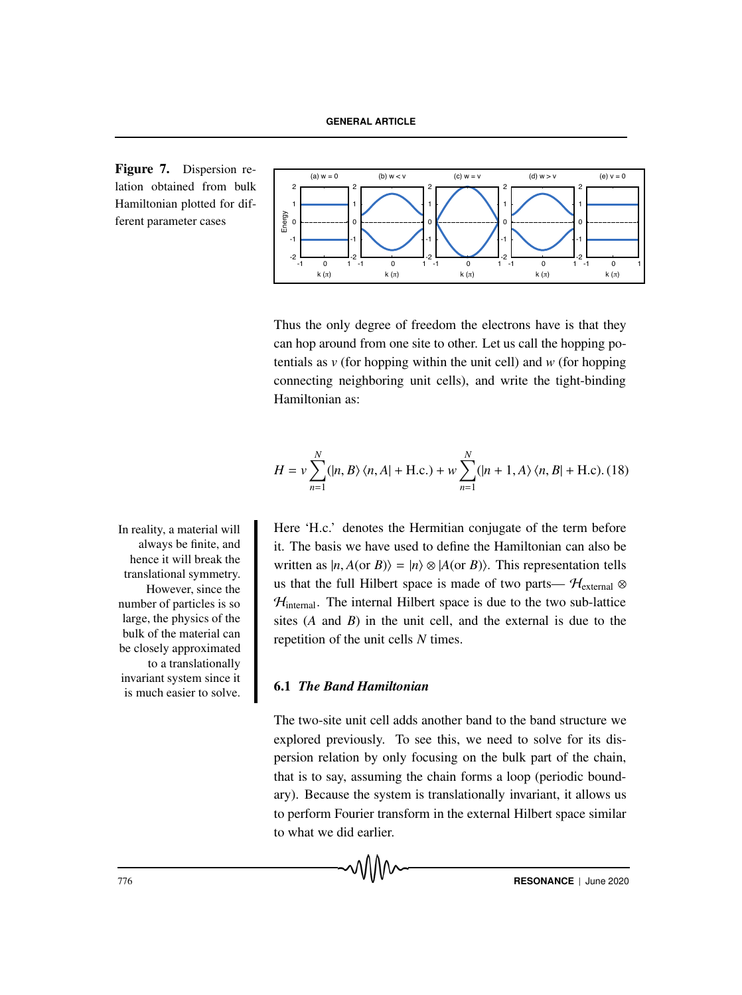Figure 7. Dispersion relation obtained from bulk Hamiltonian plotted for different parameter cases



Thus the only degree of freedom the electrons have is that they can hop around from one site to other. Let us call the hopping potentials as *v* (for hopping within the unit cell) and *w* (for hopping connecting neighboring unit cells), and write the tight-binding Hamiltonian as:

$$
H = v \sum_{n=1}^{N} (\left| n, B \right\rangle \left\langle n, A \right| + \text{H.c.}) + w \sum_{n=1}^{N} (\left| n + 1, A \right\rangle \left\langle n, B \right| + \text{H.c.}). \tag{18}
$$

In reality, a material will always be finite, and hence it will break the translational symmetry. However, since the number of particles is so large, the physics of the bulk of the material can be closely approximated to a translationally invariant system since it is much easier to solve.

Here 'H.c.' denotes the Hermitian conjugate of the term before it. The basis we have used to define the Hamiltonian can also be written as  $|n, A(\text{or } B) \rangle = |n\rangle \otimes |A(\text{or } B) \rangle$ . This representation tells us that the full Hilbert space is made of two parts—  $H_{\text{external}} \otimes$  $H<sub>internal</sub>$ . The internal Hilbert space is due to the two sub-lattice sites (*A* and *B*) in the unit cell, and the external is due to the repetition of the unit cells *N* times.

# 6.1 *The Band Hamiltonian*

The two-site unit cell adds another band to the band structure we explored previously. To see this, we need to solve for its dispersion relation by only focusing on the bulk part of the chain, that is to say, assuming the chain forms a loop (periodic boundary). Because the system is translationally invariant, it allows us to perform Fourier transform in the external Hilbert space similar to what we did earlier.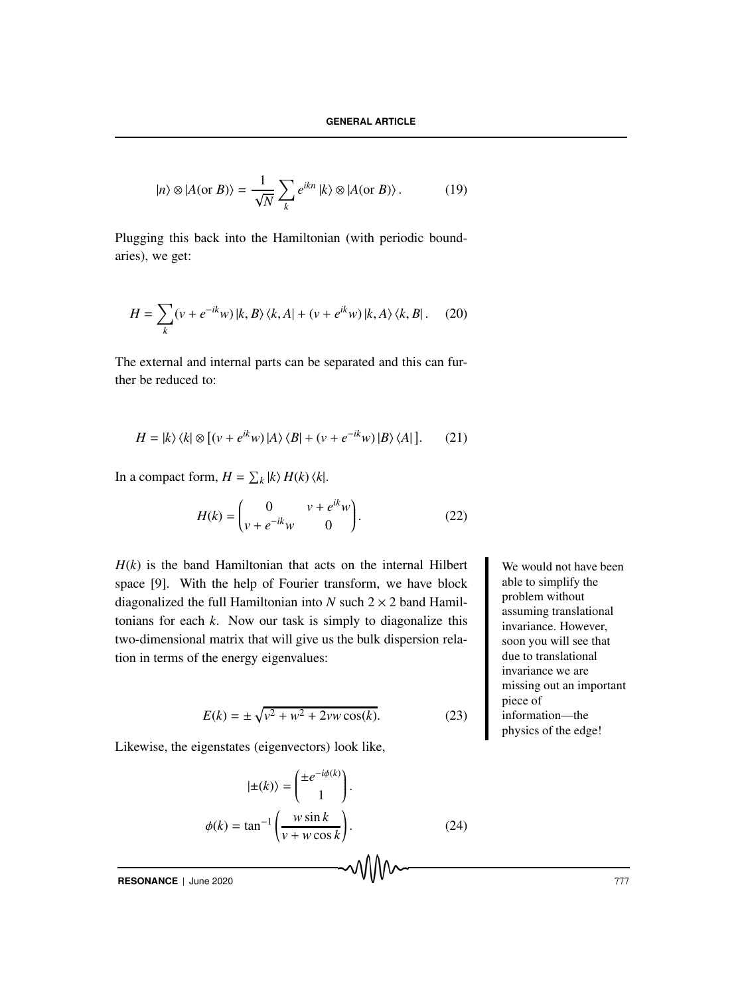$$
|n\rangle \otimes |A(\text{or } B)\rangle = \frac{1}{\sqrt{N}} \sum_{k} e^{ikn} |k\rangle \otimes |A(\text{or } B)\rangle. \tag{19}
$$

Plugging this back into the Hamiltonian (with periodic boundaries), we get:

$$
H = \sum_{k} (v + e^{-ik}w) |k, B\rangle \langle k, A| + (v + e^{ik}w) |k, A\rangle \langle k, B|.
$$
 (20)

The external and internal parts can be separated and this can further be reduced to:

$$
H = |k\rangle \langle k| \otimes \left[ \left( v + e^{ik} w \right) |A\rangle \langle B| + \left( v + e^{-ik} w \right) |B\rangle \langle A| \right]. \tag{21}
$$

In a compact form,  $H = \sum_{k} |k\rangle H(k) \langle k|$ .

$$
H(k) = \begin{pmatrix} 0 & v + e^{ik}w \\ v + e^{-ik}w & 0 \end{pmatrix}.
$$
 (22)

 $H(k)$  is the band Hamiltonian that acts on the internal Hilbert We would not have been space [9]. With the help of Fourier transform, we have block diagonalized the full Hamiltonian into  $N$  such  $2 \times 2$  band Hamiltonians for each *k*. Now our task is simply to diagonalize this two-dimensional matrix that will give us the bulk dispersion relation in terms of the energy eigenvalues:

$$
E(k) = \pm \sqrt{v^2 + w^2 + 2vw\cos(k)}.
$$
 (23)

Likewise, the eigenstates (eigenvectors) look like,

$$
|\pm(k)\rangle = \begin{pmatrix} \pm e^{-i\phi(k)} \\ 1 \end{pmatrix}.
$$

$$
\phi(k) = \tan^{-1}\left(\frac{w\sin k}{v + w\cos k}\right).
$$
 (24)

able to simplify the problem without assuming translational invariance. However, soon you will see that due to translational invariance we are missing out an important piece of information—the physics of the edge!

**RESONANCE** | June 2020 777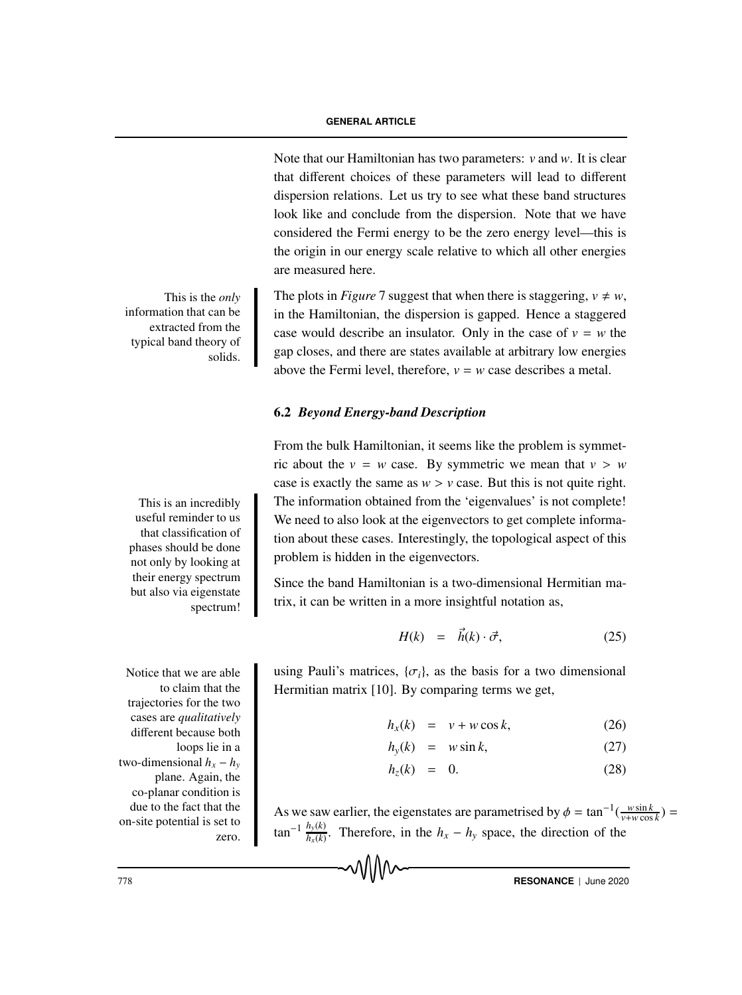#### **GENERAL ARTICLE**

Note that our Hamiltonian has two parameters: *v* and *w*. It is clear that different choices of these parameters will lead to different dispersion relations. Let us try to see what these band structures look like and conclude from the dispersion. Note that we have considered the Fermi energy to be the zero energy level—this is the origin in our energy scale relative to which all other energies are measured here.

This is the *only* The plots in *Figure* 7 suggest that when there is staggering,  $v \neq w$ , in the Hamiltonian, the dispersion is gapped. Hence a staggered case would describe an insulator. Only in the case of  $v = w$  the gap closes, and there are states available at arbitrary low energies above the Fermi level, therefore,  $v = w$  case describes a metal.

# 6.2 *Beyond Energy-band Description*

From the bulk Hamiltonian, it seems like the problem is symmetric about the  $v = w$  case. By symmetric we mean that  $v > w$ case is exactly the same as  $w > v$  case. But this is not quite right. The information obtained from the 'eigenvalues' is not complete! We need to also look at the eigenvectors to get complete information about these cases. Interestingly, the topological aspect of this problem is hidden in the eigenvectors.

Since the band Hamiltonian is a two-dimensional Hermitian matrix, it can be written in a more insightful notation as,

$$
H(k) = \vec{h}(k) \cdot \vec{\sigma}, \qquad (25)
$$

using Pauli's matrices,  $\{\sigma_i\}$ , as the basis for a two dimensional Hermitian matrix [10]. By comparing terms we get,

$$
h_x(k) = v + w \cos k, \tag{26}
$$

$$
h_y(k) = w \sin k, \tag{27}
$$

$$
h_z(k) = 0. \t(28)
$$

As we saw earlier, the eigenstates are parametrised by  $\phi = \tan^{-1}(\frac{w \sin k}{v + w \cos k}) =$  $\tan^{-1} \frac{h_y(k)}{h_x(k)}$ . Therefore, in the  $h_x - h_y$  space, the direction of the

information that can be extracted from the typical band theory of solids.

This is an incredibly useful reminder to us that classification of phases should be done not only by looking at their energy spectrum but also via eigenstate spectrum!

Notice that we are able to claim that the trajectories for the two cases are *qualitatively* different because both loops lie in a two-dimensional  $h_x - h_y$ plane. Again, the co-planar condition is due to the fact that the on-site potential is set to zero.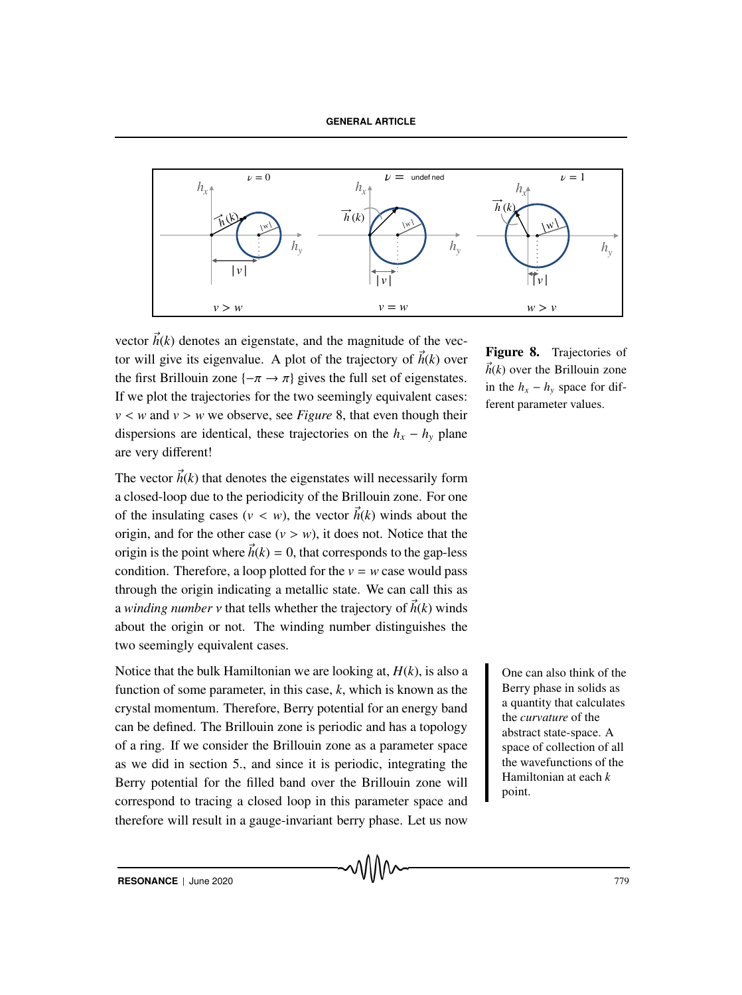

vector  $\vec{h}(k)$  denotes an eigenstate, and the magnitude of the vector will give its eigenvalue. A plot of the trajectory of  $\vec{h}(k)$  over the first Brillouin zone { $-\pi \rightarrow \pi$ } gives the full set of eigenstates. If we plot the trajectories for the two seemingly equivalent cases:  $v \leq w$  and  $v > w$  we observe, see *Figure* 8, that even though their dispersions are identical, these trajectories on the  $h_x - h_y$  plane are very different!

Figure 8. Trajectories of  $\vec{h}(k)$  over the Brillouin zone in the  $h_x - h_y$  space for different parameter values.

The vector  $\vec{h}(k)$  that denotes the eigenstates will necessarily form a closed-loop due to the periodicity of the Brillouin zone. For one of the insulating cases ( $v < w$ ), the vector  $\vec{h}(k)$  winds about the origin, and for the other case  $(v > w)$ , it does not. Notice that the origin is the point where  $\vec{h}(k) = 0$ , that corresponds to the gap-less condition. Therefore, a loop plotted for the  $v = w$  case would pass through the origin indicating a metallic state. We can call this as a *winding number*  $\nu$  that tells whether the trajectory of  $\vec{h}(k)$  winds about the origin or not. The winding number distinguishes the two seemingly equivalent cases.

Notice that the bulk Hamiltonian we are looking at,  $H(k)$ , is also a  $\Box$  One can also think of the function of some parameter, in this case, *k*, which is known as the crystal momentum. Therefore, Berry potential for an energy band can be defined. The Brillouin zone is periodic and has a topology of a ring. If we consider the Brillouin zone as a parameter space as we did in section 5., and since it is periodic, integrating the Berry potential for the filled band over the Brillouin zone will correspond to tracing a closed loop in this parameter space and therefore will result in a gauge-invariant berry phase. Let us now

MMM

Berry phase in solids as a quantity that calculates the *curvature* of the abstract state-space. A space of collection of all the wavefunctions of the Hamiltonian at each *k* point.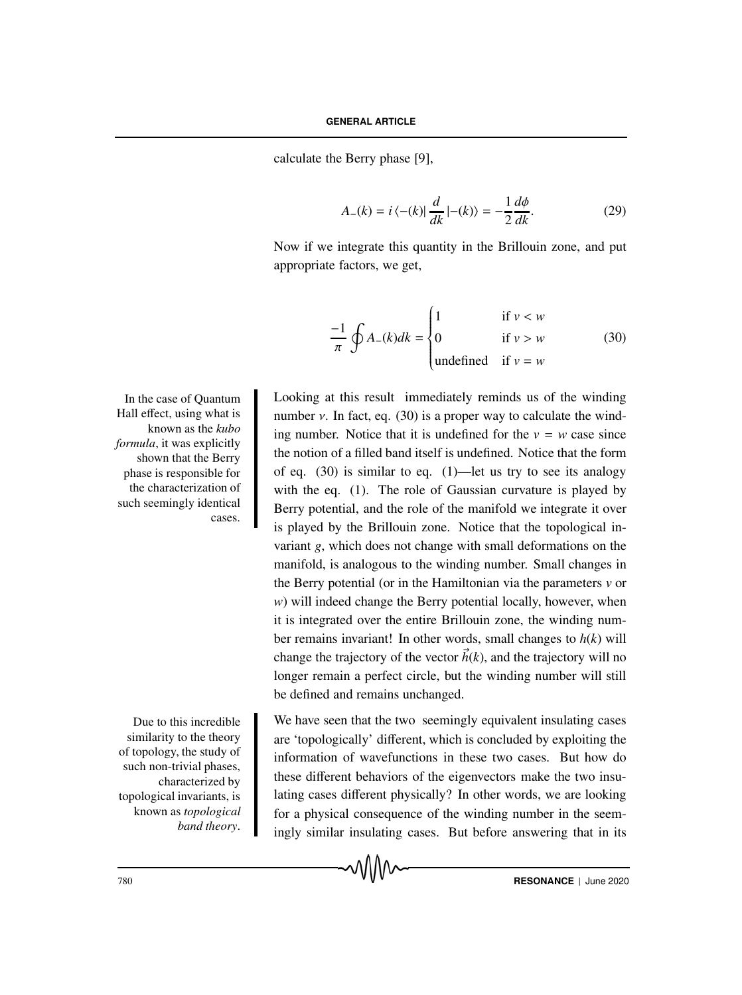calculate the Berry phase [9],

$$
A_{-}(k) = i \langle -(k) | \frac{d}{dk} | -(k) \rangle = -\frac{1}{2} \frac{d\phi}{dk}.
$$
 (29)

Now if we integrate this quantity in the Brillouin zone, and put appropriate factors, we get,

$$
\frac{-1}{\pi} \oint A_{-}(k)dk = \begin{cases} 1 & \text{if } v < w \\ 0 & \text{if } v > w \\ \text{undefined} & \text{if } v = w \end{cases}
$$
(30)

Looking at this result immediately reminds us of the winding number  $\nu$ . In fact, eq. (30) is a proper way to calculate the winding number. Notice that it is undefined for the  $v = w$  case since the notion of a filled band itself is undefined. Notice that the form of eq. (30) is similar to eq. (1)—let us try to see its analogy with the eq. (1). The role of Gaussian curvature is played by Berry potential, and the role of the manifold we integrate it over is played by the Brillouin zone. Notice that the topological invariant *g*, which does not change with small deformations on the manifold, is analogous to the winding number. Small changes in the Berry potential (or in the Hamiltonian via the parameters *v* or *w*) will indeed change the Berry potential locally, however, when it is integrated over the entire Brillouin zone, the winding number remains invariant! In other words, small changes to *h*(*k*) will change the trajectory of the vector  $\vec{h}(k)$ , and the trajectory will no longer remain a perfect circle, but the winding number will still be defined and remains unchanged.

Due to this incredible We have seen that the two seemingly equivalent insulating cases are 'topologically' different, which is concluded by exploiting the information of wavefunctions in these two cases. But how do these different behaviors of the eigenvectors make the two insulating cases different physically? In other words, we are looking for a physical consequence of the winding number in the seemingly similar insulating cases. But before answering that in its

In the case of Quantum Hall effect, using what is known as the *kubo formula*, it was explicitly shown that the Berry phase is responsible for the characterization of such seemingly identical cases.

similarity to the theory of topology, the study of such non-trivial phases, characterized by topological invariants, is known as *topological band theory*.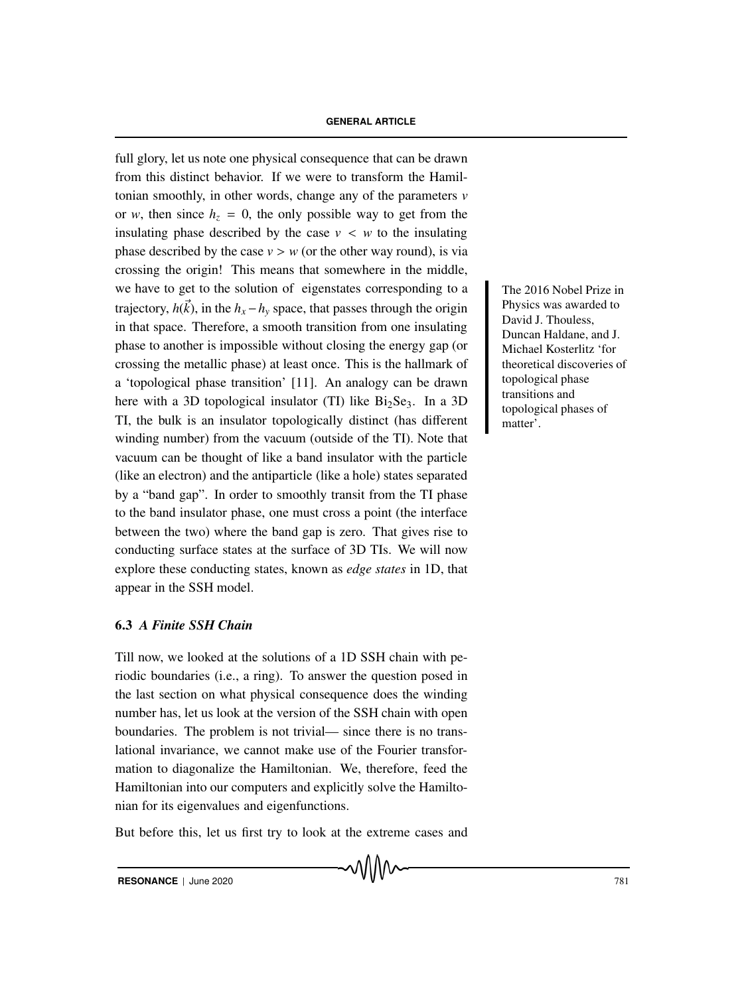#### **GENERAL ARTICLE**

full glory, let us note one physical consequence that can be drawn from this distinct behavior. If we were to transform the Hamiltonian smoothly, in other words, change any of the parameters *v* or *w*, then since  $h_z = 0$ , the only possible way to get from the insulating phase described by the case  $v < w$  to the insulating phase described by the case  $v > w$  (or the other way round), is via crossing the origin! This means that somewhere in the middle, we have to get to the solution of eigenstates corresponding to a  $\blacksquare$  The 2016 Nobel Prize in trajectory,  $h(\vec{k})$ , in the  $h_x - h_y$  space, that passes through the origin in that space. Therefore, a smooth transition from one insulating phase to another is impossible without closing the energy gap (or crossing the metallic phase) at least once. This is the hallmark of a 'topological phase transition' [11]. An analogy can be drawn here with a 3D topological insulator (TI) like  $Bi<sub>2</sub>Se<sub>3</sub>$ . In a 3D TI, the bulk is an insulator topologically distinct (has different winding number) from the vacuum (outside of the TI). Note that vacuum can be thought of like a band insulator with the particle (like an electron) and the antiparticle (like a hole) states separated by a "band gap". In order to smoothly transit from the TI phase to the band insulator phase, one must cross a point (the interface between the two) where the band gap is zero. That gives rise to conducting surface states at the surface of 3D TIs. We will now explore these conducting states, known as *edge states* in 1D, that appear in the SSH model.

### 6.3 *A Finite SSH Chain*

Till now, we looked at the solutions of a 1D SSH chain with periodic boundaries (i.e., a ring). To answer the question posed in the last section on what physical consequence does the winding number has, let us look at the version of the SSH chain with open boundaries. The problem is not trivial— since there is no translational invariance, we cannot make use of the Fourier transformation to diagonalize the Hamiltonian. We, therefore, feed the Hamiltonian into our computers and explicitly solve the Hamiltonian for its eigenvalues and eigenfunctions.

But before this, let us first try to look at the extreme cases and

Physics was awarded to David J. Thouless, Duncan Haldane, and J. Michael Kosterlitz 'for theoretical discoveries of topological phase transitions and topological phases of matter'.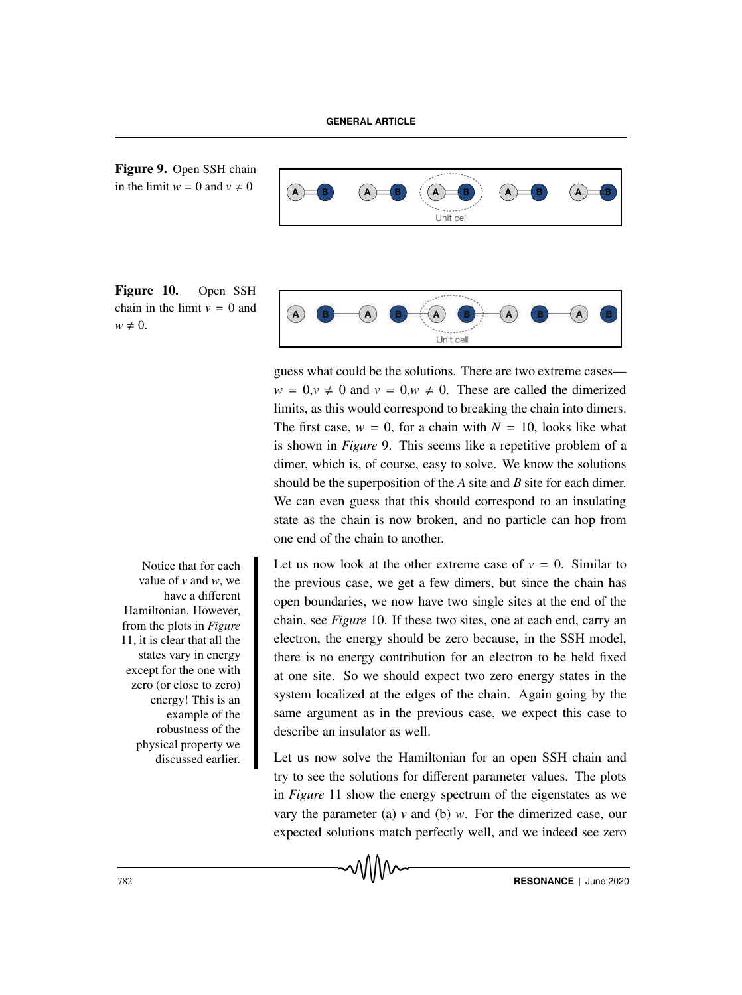Figure 9. Open SSH chain in the limit  $w = 0$  and  $v \neq 0$  <br>**A** 







guess what could be the solutions. There are two extreme cases  $w = 0, v \neq 0$  and  $v = 0, w \neq 0$ . These are called the dimerized limits, as this would correspond to breaking the chain into dimers. The first case,  $w = 0$ , for a chain with  $N = 10$ , looks like what is shown in *Figure* 9. This seems like a repetitive problem of a dimer, which is, of course, easy to solve. We know the solutions should be the superposition of the *A* site and *B* site for each dimer. We can even guess that this should correspond to an insulating state as the chain is now broken, and no particle can hop from one end of the chain to another.

Let us now look at the other extreme case of  $v = 0$ . Similar to the previous case, we get a few dimers, but since the chain has open boundaries, we now have two single sites at the end of the chain, see *Figure* 10. If these two sites, one at each end, carry an electron, the energy should be zero because, in the SSH model, there is no energy contribution for an electron to be held fixed at one site. So we should expect two zero energy states in the system localized at the edges of the chain. Again going by the same argument as in the previous case, we expect this case to describe an insulator as well.

Let us now solve the Hamiltonian for an open SSH chain and try to see the solutions for different parameter values. The plots in *Figure* 11 show the energy spectrum of the eigenstates as we vary the parameter (a) *v* and (b) *w*. For the dimerized case, our expected solutions match perfectly well, and we indeed see zero

Notice that for each value of *v* and *w*, we have a different Hamiltonian. However, from the plots in *Figure* 11, it is clear that all the states vary in energy except for the one with zero (or close to zero) energy! This is an example of the robustness of the physical property we discussed earlier.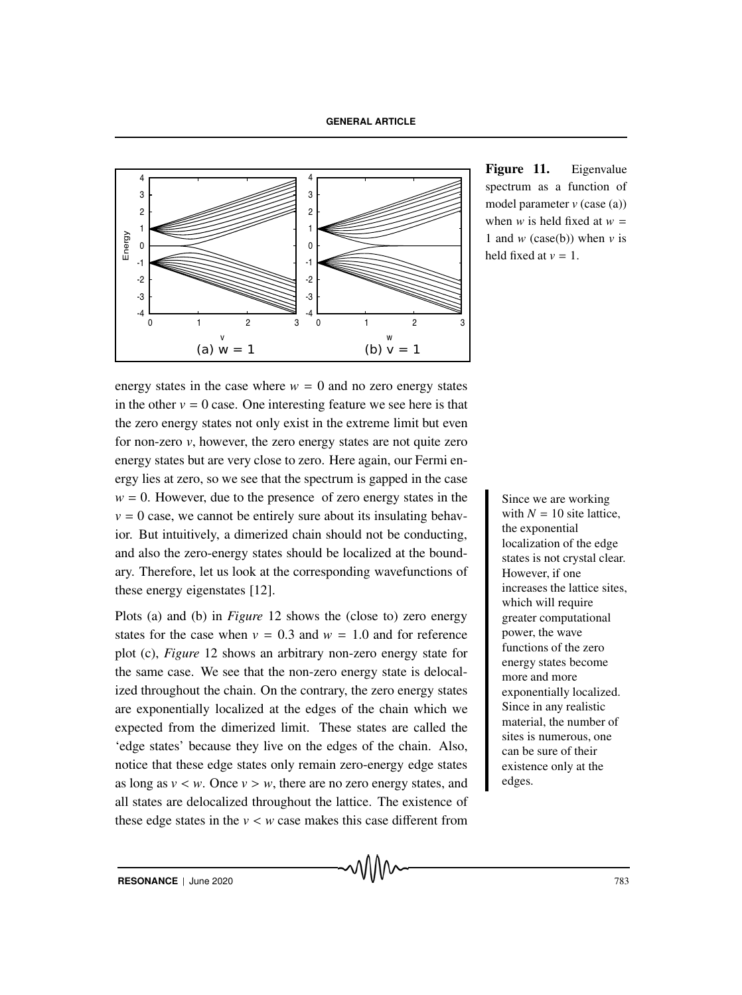

Figure 11. Eigenvalue spectrum as a function of model parameter *v* (case (a)) when *w* is held fixed at  $w =$ 1 and  $w$  (case(b)) when  $v$  is held fixed at  $v = 1$ .

energy states in the case where  $w = 0$  and no zero energy states in the other  $v = 0$  case. One interesting feature we see here is that the zero energy states not only exist in the extreme limit but even for non-zero *v*, however, the zero energy states are not quite zero energy states but are very close to zero. Here again, our Fermi energy lies at zero, so we see that the spectrum is gapped in the case  $w = 0$ . However, due to the presence of zero energy states in the Since we are working  $v = 0$  case, we cannot be entirely sure about its insulating behavior. But intuitively, a dimerized chain should not be conducting, and also the zero-energy states should be localized at the boundary. Therefore, let us look at the corresponding wavefunctions of these energy eigenstates [12].

Plots (a) and (b) in *Figure* 12 shows the (close to) zero energy states for the case when  $v = 0.3$  and  $w = 1.0$  and for reference plot (c), *Figure* 12 shows an arbitrary non-zero energy state for the same case. We see that the non-zero energy state is delocalized throughout the chain. On the contrary, the zero energy states are exponentially localized at the edges of the chain which we expected from the dimerized limit. These states are called the 'edge states' because they live on the edges of the chain. Also, notice that these edge states only remain zero-energy edge states as long as  $v < w$ . Once  $v > w$ , there are no zero energy states, and all states are delocalized throughout the lattice. The existence of these edge states in the  $v < w$  case makes this case different from

with  $N = 10$  site lattice, the exponential localization of the edge states is not crystal clear. However, if one increases the lattice sites, which will require greater computational power, the wave functions of the zero energy states become more and more exponentially localized. Since in any realistic material, the number of sites is numerous, one can be sure of their existence only at the edges.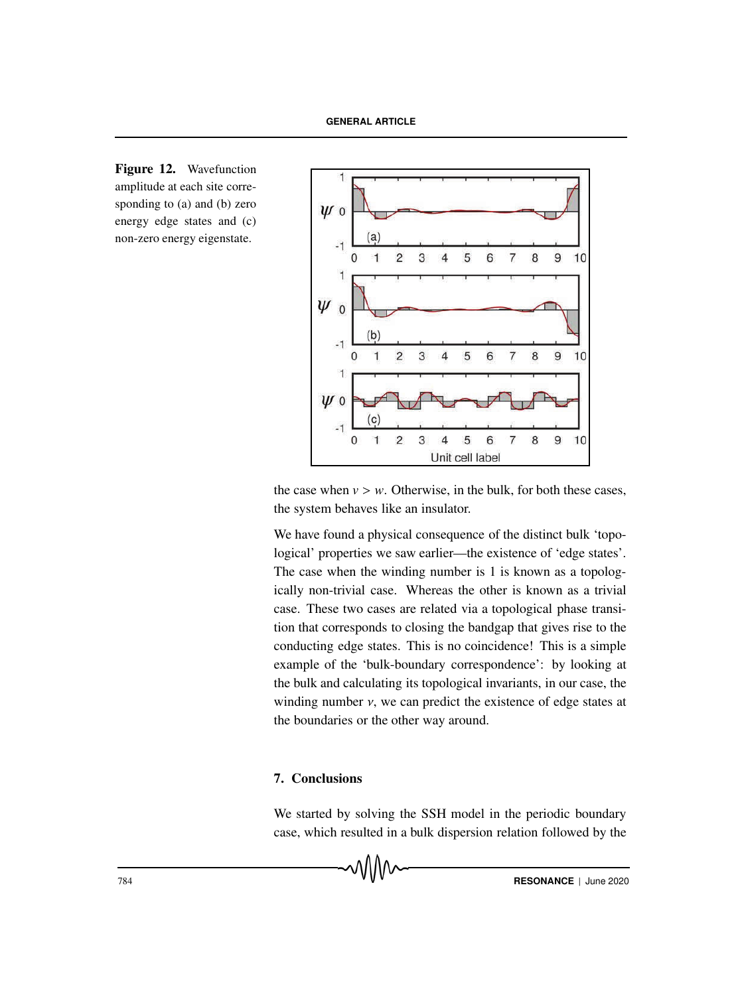Figure 12. Wavefunction amplitude at each site corresponding to (a) and (b) zero energy edge states and (c) non-zero energy eigenstate.



the case when  $v > w$ . Otherwise, in the bulk, for both these cases, the system behaves like an insulator.

We have found a physical consequence of the distinct bulk 'topological' properties we saw earlier—the existence of 'edge states'. The case when the winding number is 1 is known as a topologically non-trivial case. Whereas the other is known as a trivial case. These two cases are related via a topological phase transition that corresponds to closing the bandgap that gives rise to the conducting edge states. This is no coincidence! This is a simple example of the 'bulk-boundary correspondence': by looking at the bulk and calculating its topological invariants, in our case, the winding number  $\nu$ , we can predict the existence of edge states at the boundaries or the other way around.

### 7. Conclusions

√∖∖∖∧∼

We started by solving the SSH model in the periodic boundary case, which resulted in a bulk dispersion relation followed by the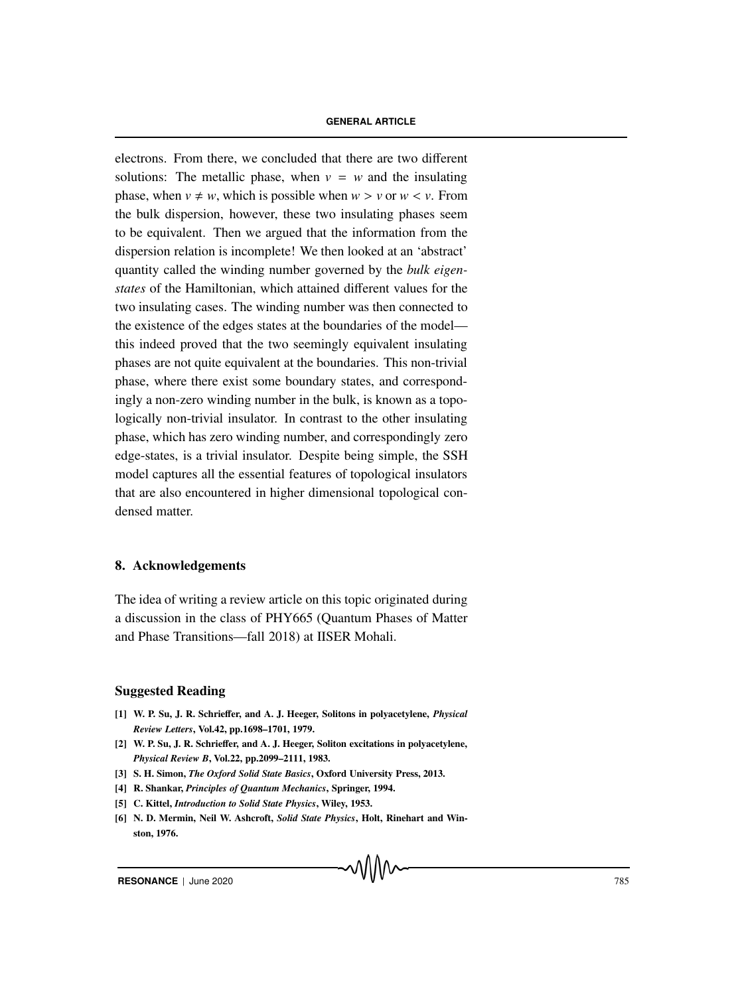#### **GENERAL ARTICLE**

electrons. From there, we concluded that there are two different solutions: The metallic phase, when  $v = w$  and the insulating phase, when  $v \neq w$ , which is possible when  $w > v$  or  $w < v$ . From the bulk dispersion, however, these two insulating phases seem to be equivalent. Then we argued that the information from the dispersion relation is incomplete! We then looked at an 'abstract' quantity called the winding number governed by the *bulk eigenstates* of the Hamiltonian, which attained different values for the two insulating cases. The winding number was then connected to the existence of the edges states at the boundaries of the model this indeed proved that the two seemingly equivalent insulating phases are not quite equivalent at the boundaries. This non-trivial phase, where there exist some boundary states, and correspondingly a non-zero winding number in the bulk, is known as a topologically non-trivial insulator. In contrast to the other insulating phase, which has zero winding number, and correspondingly zero edge-states, is a trivial insulator. Despite being simple, the SSH model captures all the essential features of topological insulators that are also encountered in higher dimensional topological condensed matter.

### 8. Acknowledgements

The idea of writing a review article on this topic originated during a discussion in the class of PHY665 (Quantum Phases of Matter and Phase Transitions—fall 2018) at IISER Mohali.

#### Suggested Reading

- [1] W. P. Su, J. R. Schrieffer, and A. J. Heeger, Solitons in polyacetylene, *Physical Review Letters*, Vol.42, pp.1698–1701, 1979.
- [2] W. P. Su, J. R. Schrieffer, and A. J. Heeger, Soliton excitations in polyacetylene, *Physical Review B*, Vol.22, pp.2099–2111, 1983.
- [3] S. H. Simon, *The Oxford Solid State Basics*, Oxford University Press, 2013.
- [4] R. Shankar, *Principles of Quantum Mechanics*, Springer, 1994.
- [5] C. Kittel, *Introduction to Solid State Physics*, Wiley, 1953.
- [6] N. D. Mermin, Neil W. Ashcroft, *Solid State Physics*, Holt, Rinehart and Winston, 1976.